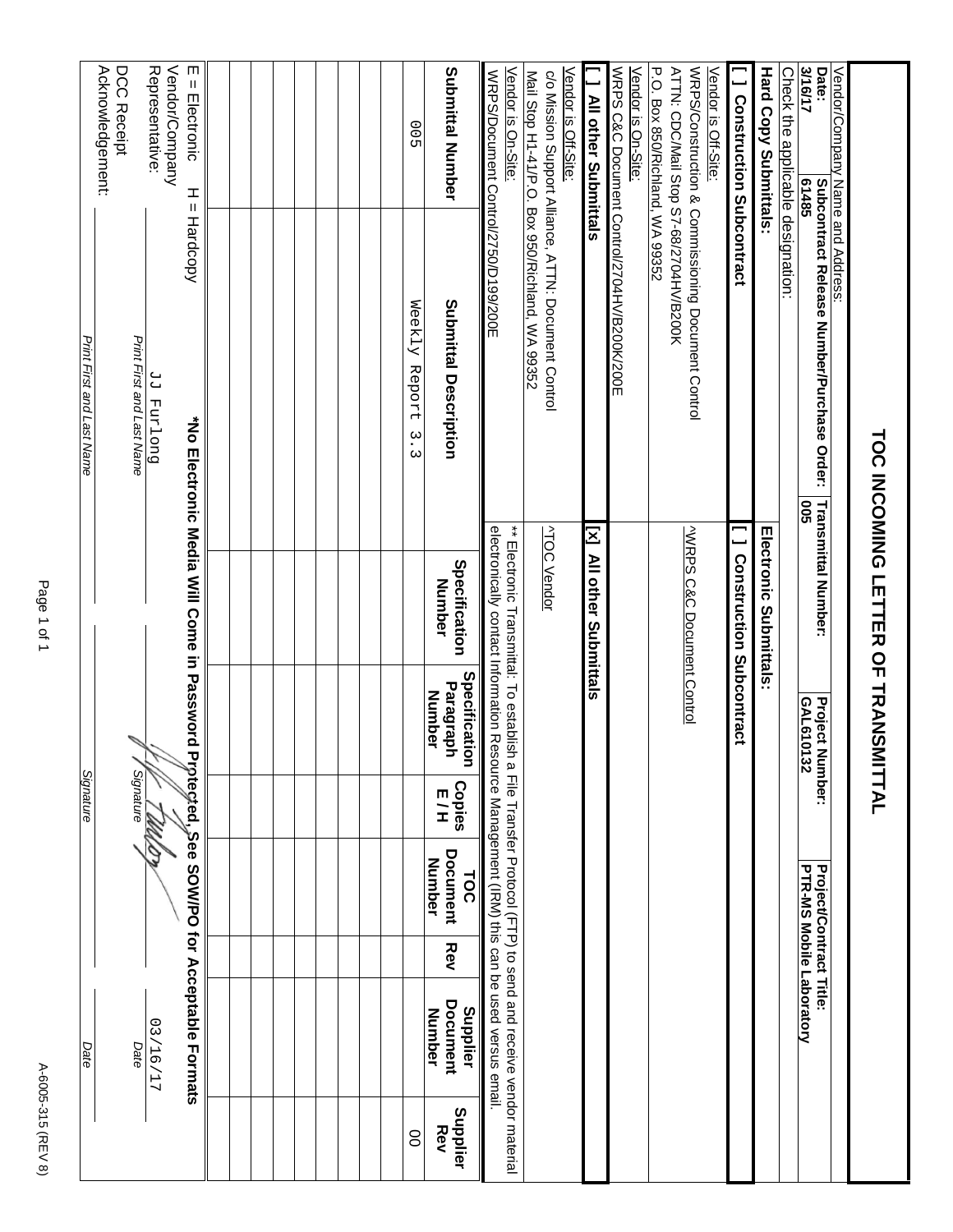|                        | Date                                         |     |                                                            | Signature            |                                             |                                                                                                                                                                                                                                                                                           | Print First and Last Name                                |                    |                                                                        |
|------------------------|----------------------------------------------|-----|------------------------------------------------------------|----------------------|---------------------------------------------|-------------------------------------------------------------------------------------------------------------------------------------------------------------------------------------------------------------------------------------------------------------------------------------------|----------------------------------------------------------|--------------------|------------------------------------------------------------------------|
|                        |                                              |     |                                                            |                      |                                             |                                                                                                                                                                                                                                                                                           |                                                          |                    | Acknowledgement:<br>DCC Receipt                                        |
|                        | Date                                         |     |                                                            | <b>Signature</b>     |                                             |                                                                                                                                                                                                                                                                                           | Print First and Last Name                                |                    |                                                                        |
|                        | 12/16/17                                     |     |                                                            | W.                   |                                             |                                                                                                                                                                                                                                                                                           | Duo Land PP                                              |                    | Vendor/Company<br>Representative:                                      |
|                        |                                              |     |                                                            |                      |                                             |                                                                                                                                                                                                                                                                                           |                                                          |                    |                                                                        |
|                        | Protected, See SOW/PO for Acceptable Formats |     |                                                            |                      |                                             |                                                                                                                                                                                                                                                                                           | *No Electronic Media Will Come in Password               | I<br>Ш<br>Hardcopy | m<br>$=$ Electronic                                                    |
|                        |                                              |     |                                                            |                      |                                             |                                                                                                                                                                                                                                                                                           |                                                          |                    |                                                                        |
|                        |                                              |     |                                                            |                      |                                             |                                                                                                                                                                                                                                                                                           |                                                          |                    |                                                                        |
|                        |                                              |     |                                                            |                      |                                             |                                                                                                                                                                                                                                                                                           |                                                          |                    |                                                                        |
|                        |                                              |     |                                                            |                      |                                             |                                                                                                                                                                                                                                                                                           |                                                          |                    |                                                                        |
|                        |                                              |     |                                                            |                      |                                             |                                                                                                                                                                                                                                                                                           |                                                          |                    |                                                                        |
|                        |                                              |     |                                                            |                      |                                             |                                                                                                                                                                                                                                                                                           |                                                          |                    |                                                                        |
|                        |                                              |     |                                                            |                      |                                             |                                                                                                                                                                                                                                                                                           |                                                          |                    |                                                                        |
|                        |                                              |     |                                                            |                      |                                             |                                                                                                                                                                                                                                                                                           |                                                          |                    |                                                                        |
| 8                      |                                              |     |                                                            |                      |                                             |                                                                                                                                                                                                                                                                                           | Weekly Report                                            |                    |                                                                        |
|                        |                                              |     |                                                            |                      |                                             |                                                                                                                                                                                                                                                                                           | $\tilde{\cdot}$<br>$\omega$                              |                    | ОО<br>5                                                                |
| Supplier<br><b>Rev</b> | Document<br>Supplier<br>Number               | Rev | <b>Document</b><br>Number<br>TOC                           | <b>Copies</b><br>E/H | Specification<br>Paragraph<br><b>Number</b> | Specification<br>Number                                                                                                                                                                                                                                                                   | Submittal Description                                    |                    | Submittal Number                                                       |
|                        |                                              |     |                                                            |                      |                                             | electronically contact Information Resource Management (IRM) this can be used versus email                                                                                                                                                                                                |                                                          |                    | Vendor is On-Site:<br>WRPS/Document Control/2750/D199/200E             |
|                        |                                              |     |                                                            |                      |                                             | $_{\ast}$ = $\frac{1}{10}$ and $\frac{1}{10}$ and $\frac{1}{10}$ and $\frac{1}{10}$ and $\frac{1}{10}$ and $\frac{1}{10}$ and $\frac{1}{10}$ and $\frac{1}{10}$ and $\frac{1}{10}$ and $\frac{1}{10}$ and $\frac{1}{10}$ and $\frac{1}{10}$ and $\frac{1}{10}$ and $\frac{1}{10}$ and $\$ |                                                          |                    |                                                                        |
|                        |                                              |     |                                                            |                      |                                             | <b>ATOC Vendor</b>                                                                                                                                                                                                                                                                        | c/o Mission Support Alliance, ATTN: Document Control     |                    | Vendor is Off-Site:<br>Mail Stop H1-41/P.O. Box 950/Richland, WA 99352 |
|                        |                                              |     |                                                            |                      |                                             | [x] All other Submittals                                                                                                                                                                                                                                                                  |                                                          |                    | <b>All other Submittals</b>                                            |
|                        |                                              |     |                                                            |                      |                                             |                                                                                                                                                                                                                                                                                           | WRPS C&C Document Control/2704HV/B200K/200E              |                    | Vendor is On-Site:                                                     |
|                        |                                              |     |                                                            |                      |                                             |                                                                                                                                                                                                                                                                                           |                                                          |                    | <b>P.O. Box 850/Nichland, <math>\leq</math> 503350</b>                 |
|                        |                                              |     |                                                            |                      |                                             | <b>VWRPS C&amp;C Document Control</b>                                                                                                                                                                                                                                                     | WRPS/Construction & Commissioning Document Control       |                    | ATTN: CDC/Mail Stop S7-68/2704HV/B200K<br>Vendor is Off-Site:          |
|                        |                                              |     |                                                            |                      |                                             | Construction Subcontract                                                                                                                                                                                                                                                                  |                                                          |                    | <b>J</b> Construction Subcontract                                      |
|                        |                                              |     |                                                            |                      |                                             | <b>Electronic Submittals:</b>                                                                                                                                                                                                                                                             |                                                          |                    | <b>Hard Copy Submittals:</b>                                           |
|                        |                                              |     |                                                            |                      |                                             |                                                                                                                                                                                                                                                                                           |                                                          |                    | Check the applicable designation:                                      |
|                        |                                              |     | PTR-MS Mobile Laboratory<br><b>Project/Contract Title:</b> | Iumber:              | <b>Project N</b><br>GAL6101<br>ξ            | <b>Transmittal Number:</b>                                                                                                                                                                                                                                                                | Subcontract Release Number/Purchase Order:<br><b>SOQ</b> | 61485              | Vendor/Company Name and Address:<br>3/16/17<br>Date:                   |
|                        |                                              |     |                                                            |                      |                                             |                                                                                                                                                                                                                                                                                           |                                                          |                    |                                                                        |
|                        |                                              |     |                                                            |                      |                                             | TOO INCOMING LETTER OF TRANSMITTAL                                                                                                                                                                                                                                                        |                                                          |                    |                                                                        |

A-6005-315 (REV 8) A-6005-315 (REV 8)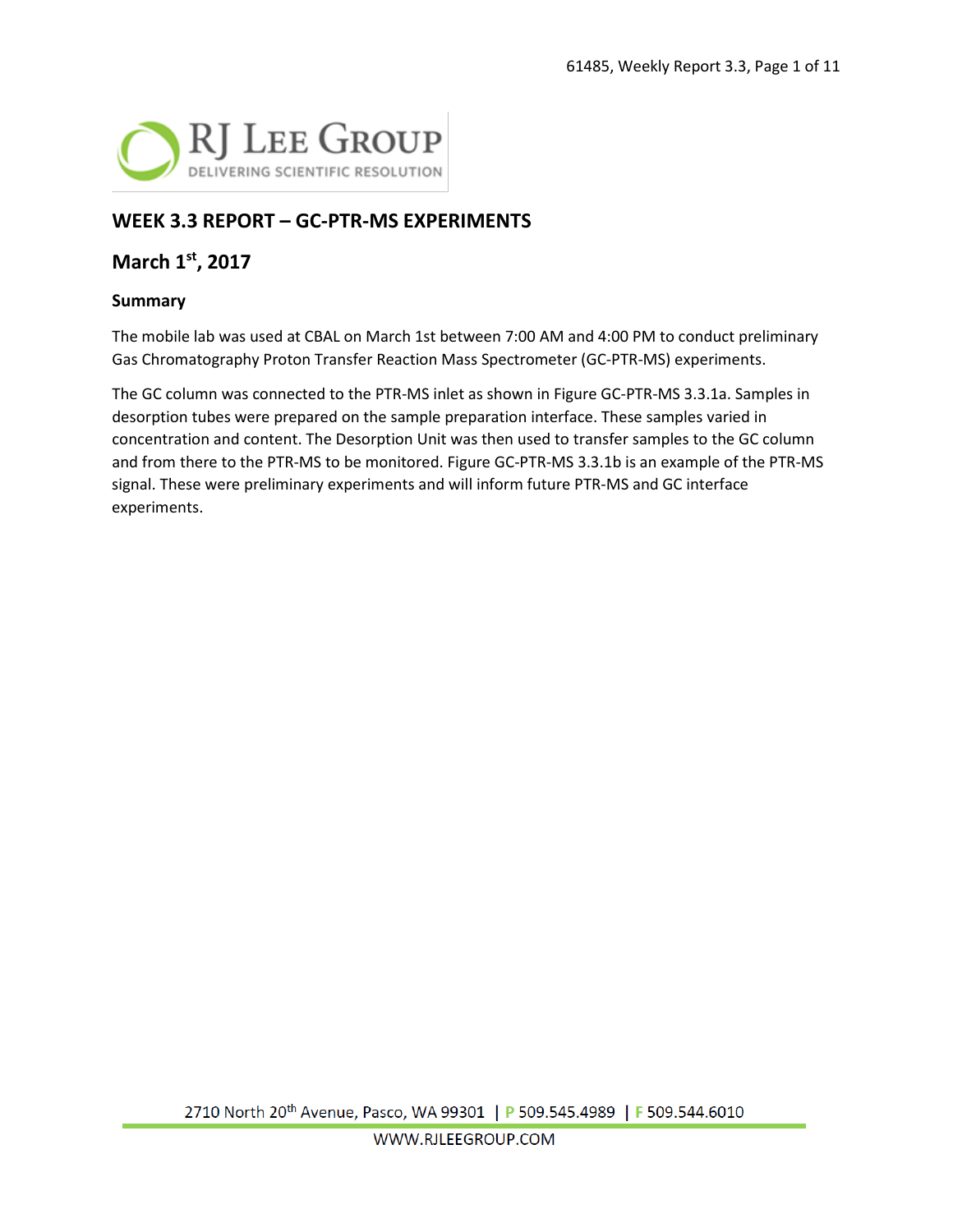

# **WEEK 3.3 REPORT – GC-PTR-MS EXPERIMENTS**

## **March 1st, 2017**

#### **Summary**

The mobile lab was used at CBAL on March 1st between 7:00 AM and 4:00 PM to conduct preliminary Gas Chromatography Proton Transfer Reaction Mass Spectrometer (GC-PTR-MS) experiments.

The GC column was connected to the PTR-MS inlet as shown in Figure GC-PTR-MS 3.3.1a. Samples in desorption tubes were prepared on the sample preparation interface. These samples varied in concentration and content. The Desorption Unit was then used to transfer samples to the GC column and from there to the PTR-MS to be monitored. Figure GC-PTR-MS 3.3.1b is an example of the PTR-MS signal. These were preliminary experiments and will inform future PTR-MS and GC interface experiments.

2710 North 20<sup>th</sup> Avenue, Pasco, WA 99301 | P 509.545.4989 | F 509.544.6010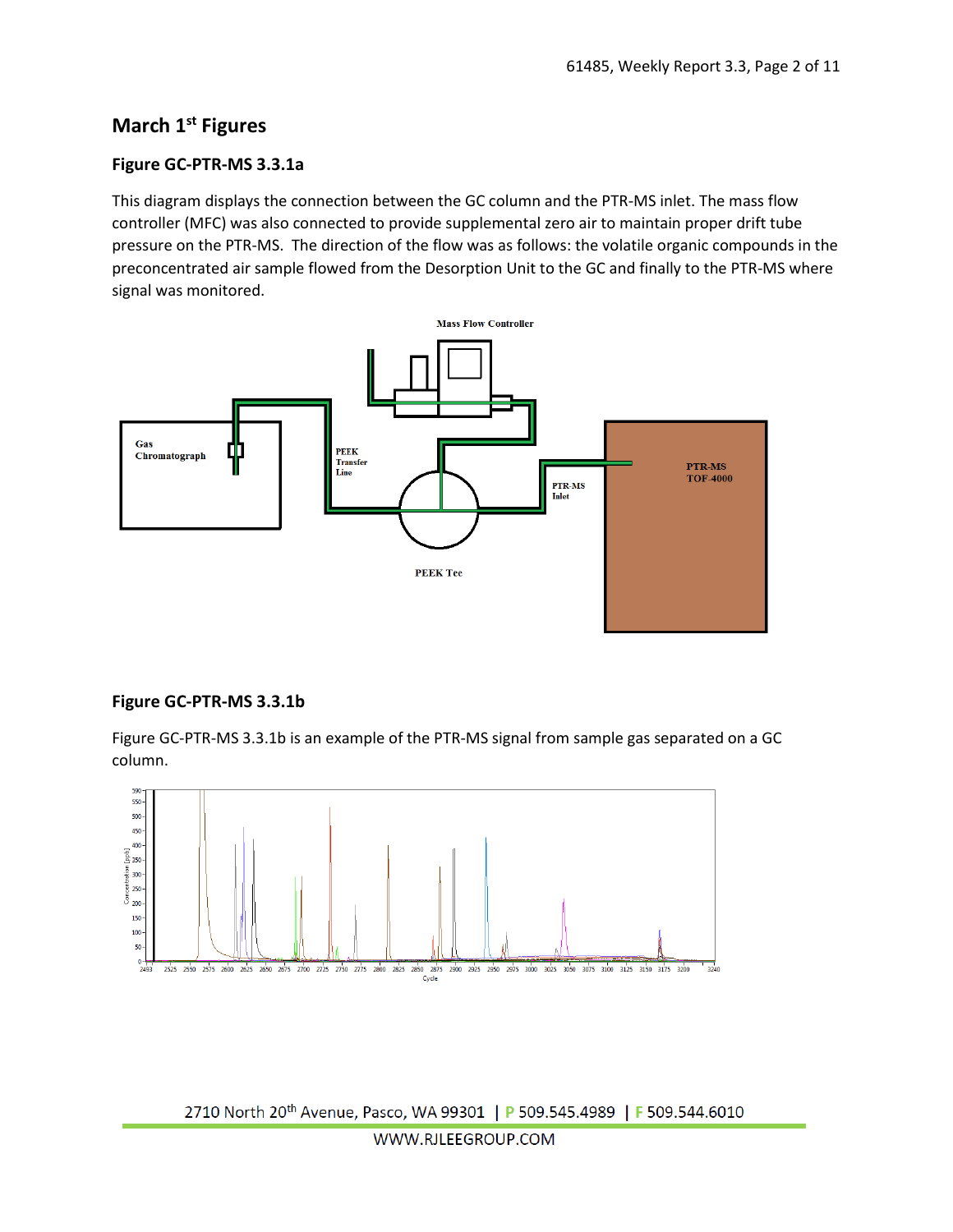# **March 1st Figures**

#### **Figure GC-PTR-MS 3.3.1a**

This diagram displays the connection between the GC column and the PTR-MS inlet. The mass flow controller (MFC) was also connected to provide supplemental zero air to maintain proper drift tube pressure on the PTR-MS. The direction of the flow was as follows: the volatile organic compounds in the preconcentrated air sample flowed from the Desorption Unit to the GC and finally to the PTR-MS where signal was monitored.



#### **Figure GC-PTR-MS 3.3.1b**

Figure GC-PTR-MS 3.3.1b is an example of the PTR-MS signal from sample gas separated on a GC column.



2710 North 20<sup>th</sup> Avenue, Pasco, WA 99301 | P 509.545.4989 | F 509.544.6010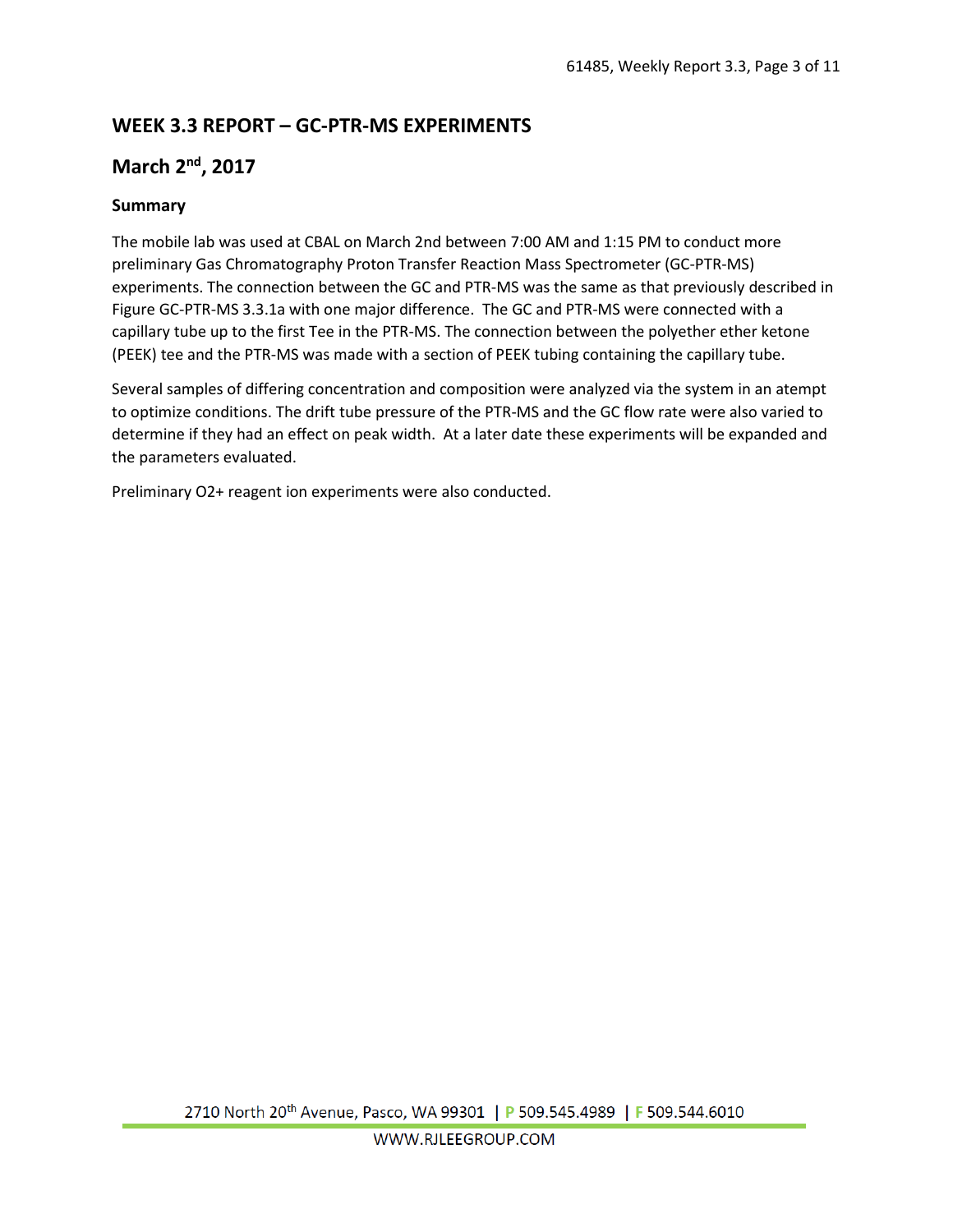# **WEEK 3.3 REPORT – GC-PTR-MS EXPERIMENTS**

## **March 2nd, 2017**

#### **Summary**

The mobile lab was used at CBAL on March 2nd between 7:00 AM and 1:15 PM to conduct more preliminary Gas Chromatography Proton Transfer Reaction Mass Spectrometer (GC-PTR-MS) experiments. The connection between the GC and PTR-MS was the same as that previously described in Figure GC-PTR-MS 3.3.1a with one major difference. The GC and PTR-MS were connected with a capillary tube up to the first Tee in the PTR-MS. The connection between the polyether ether ketone (PEEK) tee and the PTR-MS was made with a section of PEEK tubing containing the capillary tube.

Several samples of differing concentration and composition were analyzed via the system in an atempt to optimize conditions. The drift tube pressure of the PTR-MS and the GC flow rate were also varied to determine if they had an effect on peak width. At a later date these experiments will be expanded and the parameters evaluated.

Preliminary O2+ reagent ion experiments were also conducted.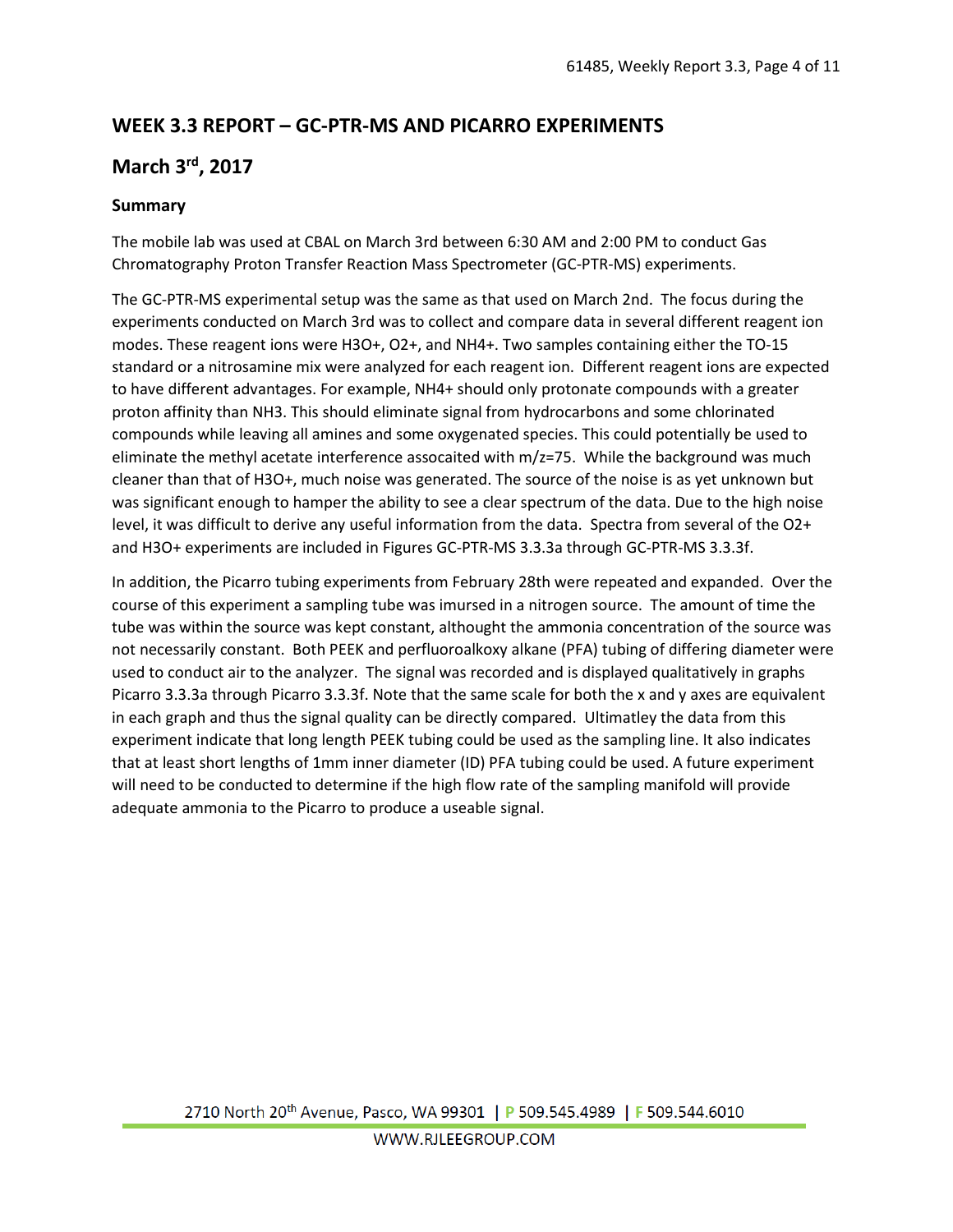# **WEEK 3.3 REPORT – GC-PTR-MS AND PICARRO EXPERIMENTS**

# **March 3rd, 2017**

## **Summary**

The mobile lab was used at CBAL on March 3rd between 6:30 AM and 2:00 PM to conduct Gas Chromatography Proton Transfer Reaction Mass Spectrometer (GC-PTR-MS) experiments.

The GC-PTR-MS experimental setup was the same as that used on March 2nd. The focus during the experiments conducted on March 3rd was to collect and compare data in several different reagent ion modes. These reagent ions were H3O+, O2+, and NH4+. Two samples containing either the TO-15 standard or a nitrosamine mix were analyzed for each reagent ion. Different reagent ions are expected to have different advantages. For example, NH4+ should only protonate compounds with a greater proton affinity than NH3. This should eliminate signal from hydrocarbons and some chlorinated compounds while leaving all amines and some oxygenated species. This could potentially be used to eliminate the methyl acetate interference assocaited with m/z=75. While the background was much cleaner than that of H3O+, much noise was generated. The source of the noise is as yet unknown but was significant enough to hamper the ability to see a clear spectrum of the data. Due to the high noise level, it was difficult to derive any useful information from the data. Spectra from several of the O2+ and H3O+ experiments are included in Figures GC-PTR-MS 3.3.3a through GC-PTR-MS 3.3.3f.

In addition, the Picarro tubing experiments from February 28th were repeated and expanded. Over the course of this experiment a sampling tube was imursed in a nitrogen source. The amount of time the tube was within the source was kept constant, althought the ammonia concentration of the source was not necessarily constant. Both PEEK and perfluoroalkoxy alkane (PFA) tubing of differing diameter were used to conduct air to the analyzer. The signal was recorded and is displayed qualitatively in graphs Picarro 3.3.3a through Picarro 3.3.3f. Note that the same scale for both the x and y axes are equivalent in each graph and thus the signal quality can be directly compared. Ultimatley the data from this experiment indicate that long length PEEK tubing could be used as the sampling line. It also indicates that at least short lengths of 1mm inner diameter (ID) PFA tubing could be used. A future experiment will need to be conducted to determine if the high flow rate of the sampling manifold will provide adequate ammonia to the Picarro to produce a useable signal.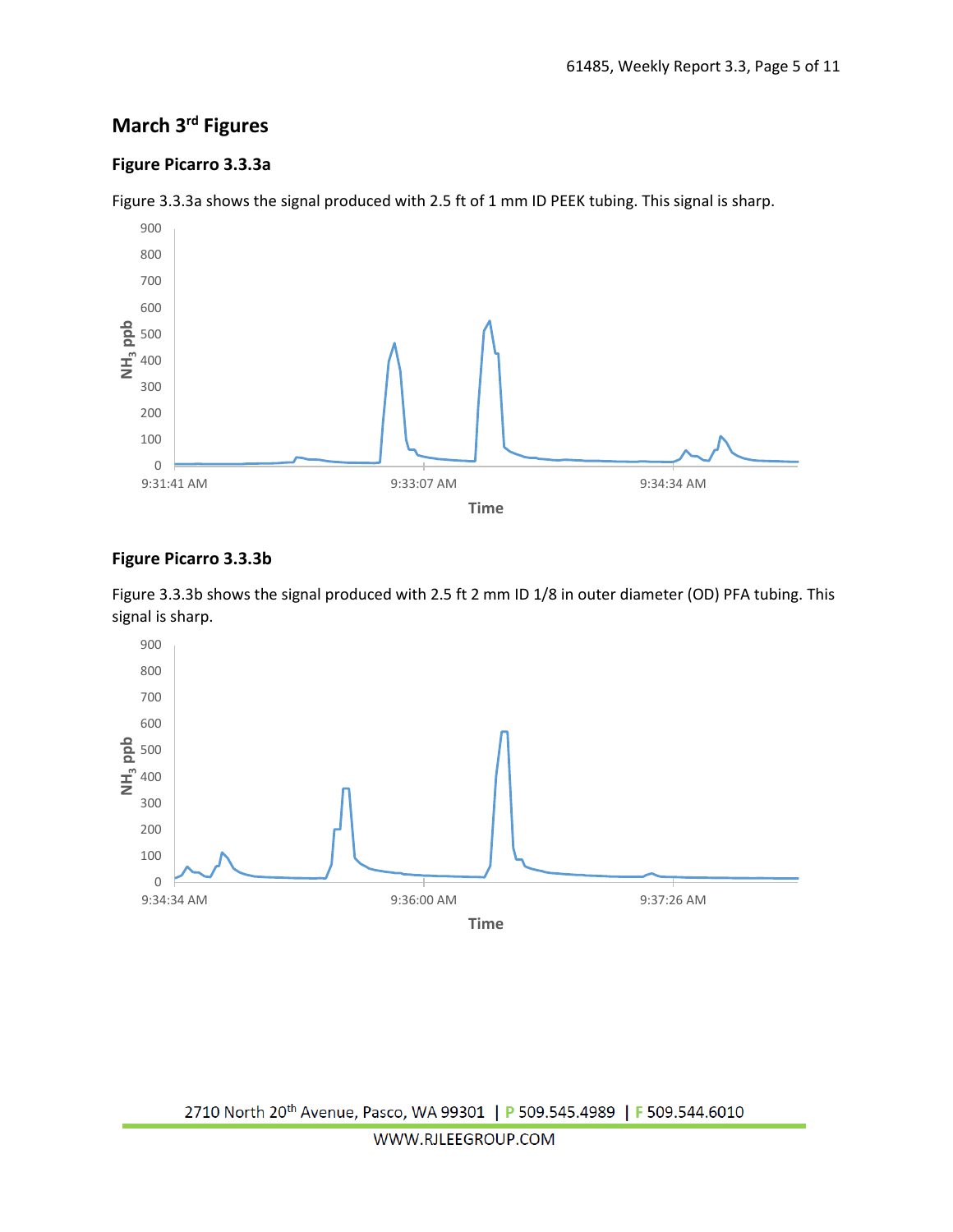# **March 3rd Figures**

## **Figure Picarro 3.3.3a**



Figure 3.3.3a shows the signal produced with 2.5 ft of 1 mm ID PEEK tubing. This signal is sharp.

#### **Figure Picarro 3.3.3b**

Figure 3.3.3b shows the signal produced with 2.5 ft 2 mm ID 1/8 in outer diameter (OD) PFA tubing. This signal is sharp.

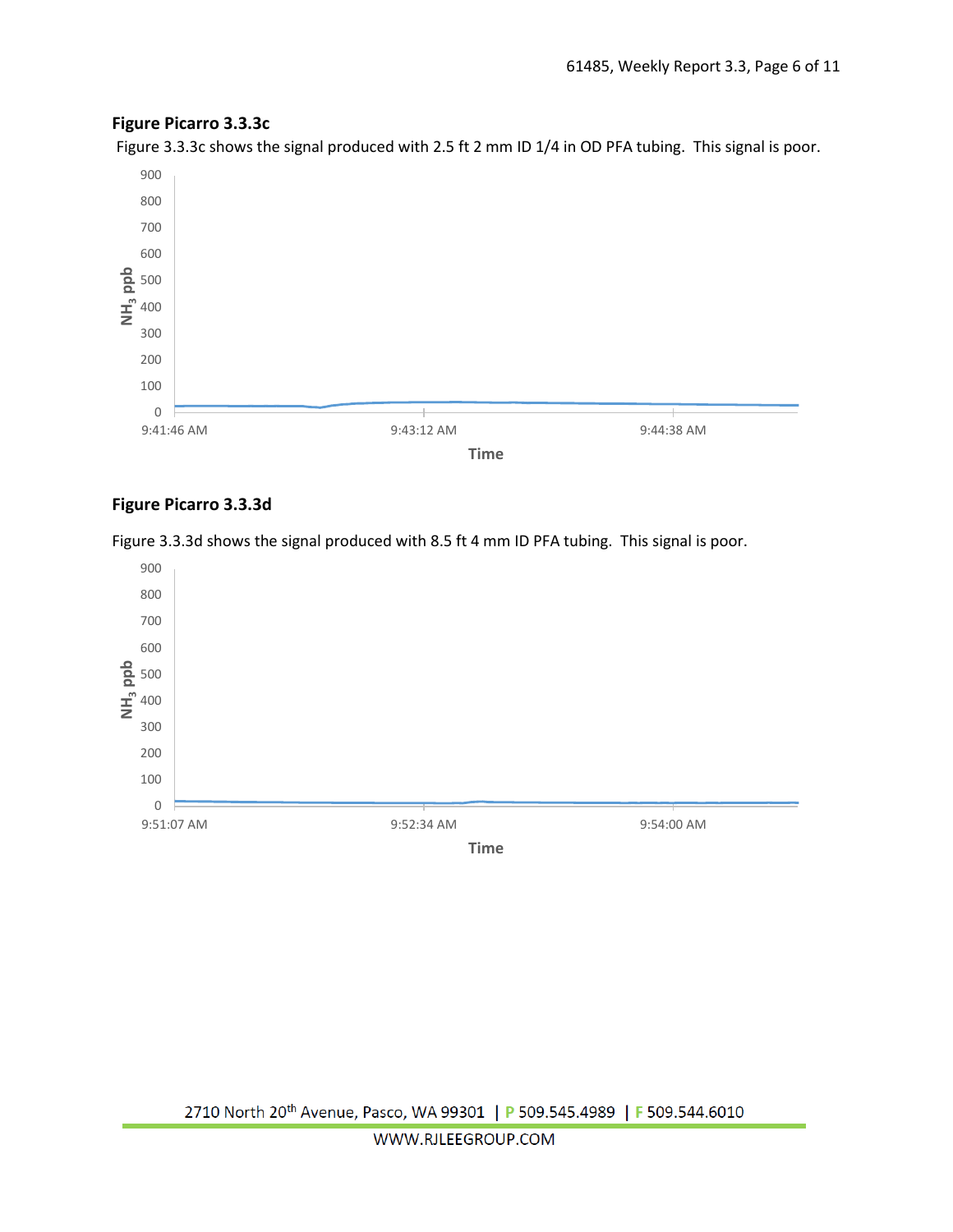## **Figure Picarro 3.3.3c**

Figure 3.3.3c shows the signal produced with 2.5 ft 2 mm ID 1/4 in OD PFA tubing. This signal is poor.



#### **Figure Picarro 3.3.3d**

Figure 3.3.3d shows the signal produced with 8.5 ft 4 mm ID PFA tubing. This signal is poor.

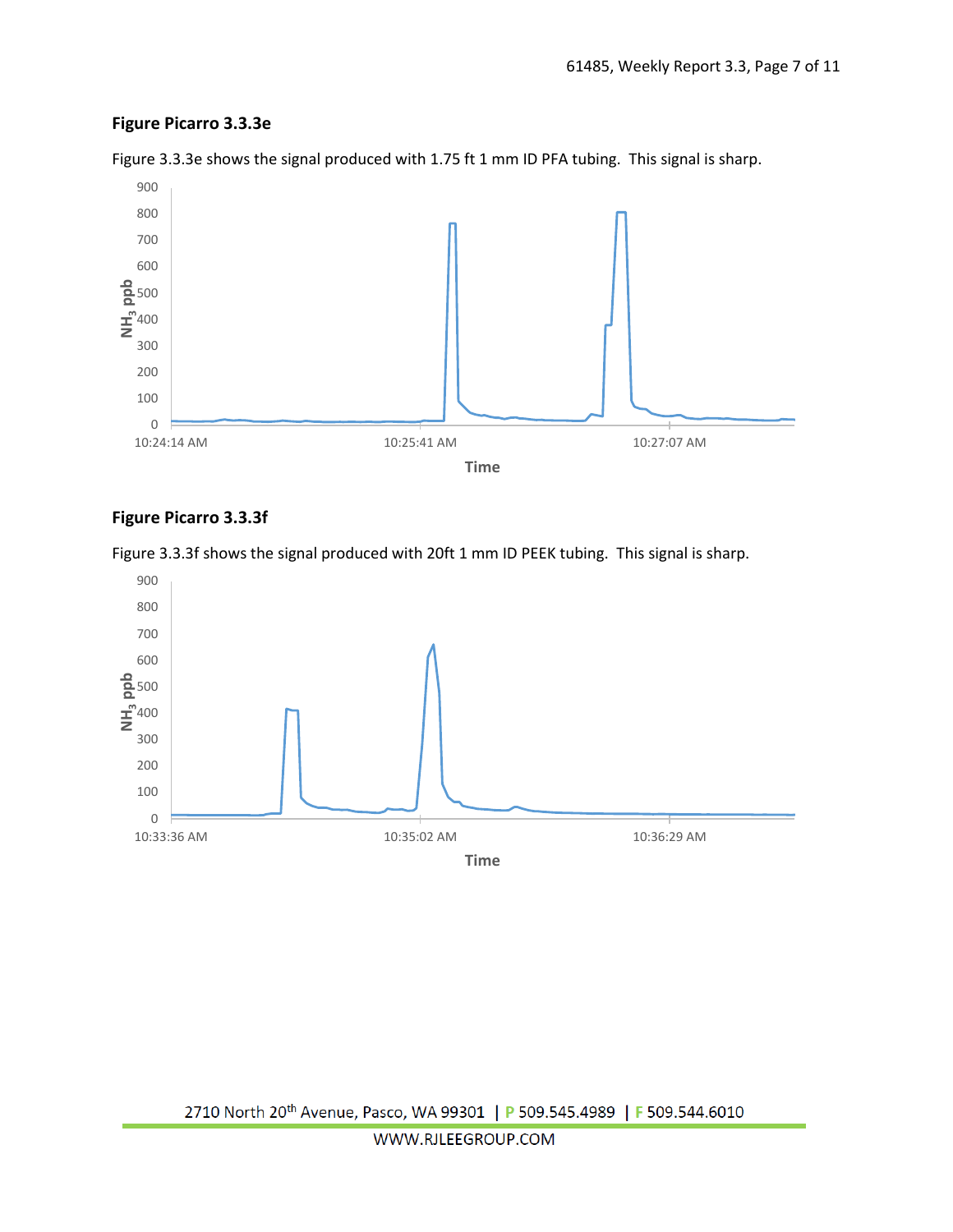## **Figure Picarro 3.3.3e**



Figure 3.3.3e shows the signal produced with 1.75 ft 1 mm ID PFA tubing. This signal is sharp.

## **Figure Picarro 3.3.3f**



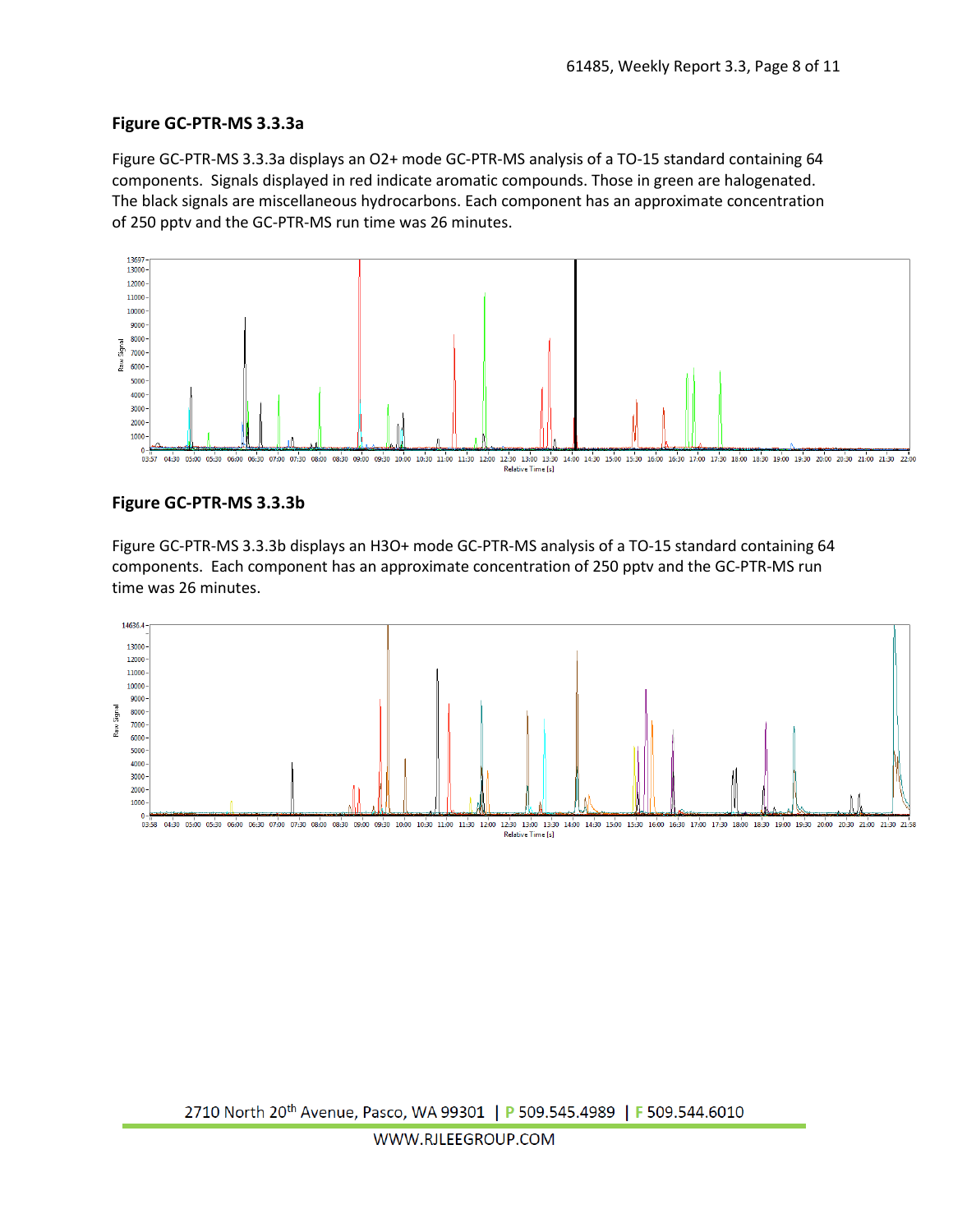#### **Figure GC-PTR-MS 3.3.3a**

Figure GC-PTR-MS 3.3.3a displays an O2+ mode GC-PTR-MS analysis of a TO-15 standard containing 64 components. Signals displayed in red indicate aromatic compounds. Those in green are halogenated. The black signals are miscellaneous hydrocarbons. Each component has an approximate concentration of 250 pptv and the GC-PTR-MS run time was 26 minutes.



#### **Figure GC-PTR-MS 3.3.3b**

Figure GC-PTR-MS 3.3.3b displays an H3O+ mode GC-PTR-MS analysis of a TO-15 standard containing 64 components. Each component has an approximate concentration of 250 pptv and the GC-PTR-MS run time was 26 minutes.

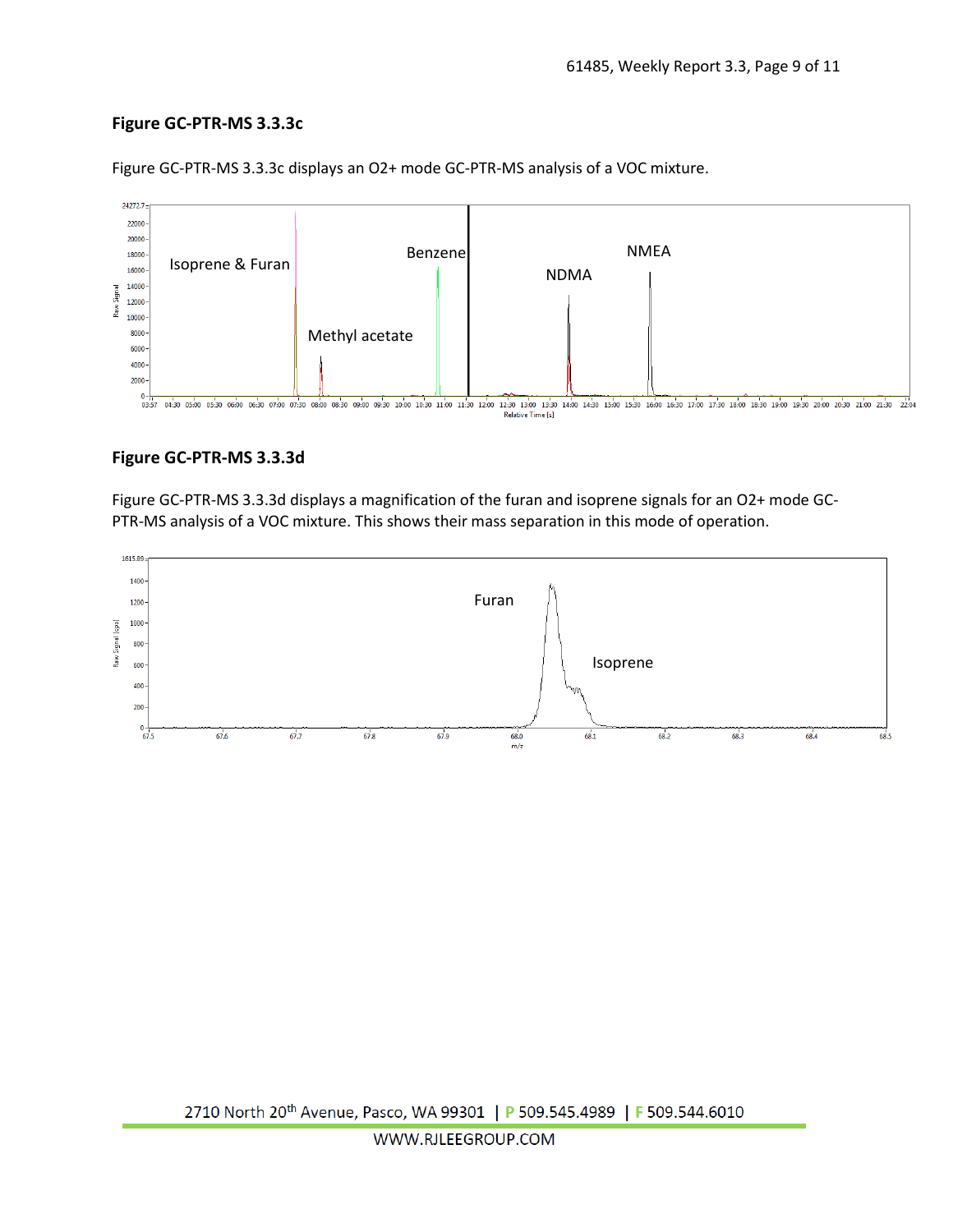## **Figure GC-PTR-MS 3.3.3c**



Figure GC-PTR-MS 3.3.3c displays an O2+ mode GC-PTR-MS analysis of a VOC mixture.

#### **Figure GC-PTR-MS 3.3.3d**

Figure GC-PTR-MS 3.3.3d displays a magnification of the furan and isoprene signals for an O2+ mode GC-PTR-MS analysis of a VOC mixture. This shows their mass separation in this mode of operation.

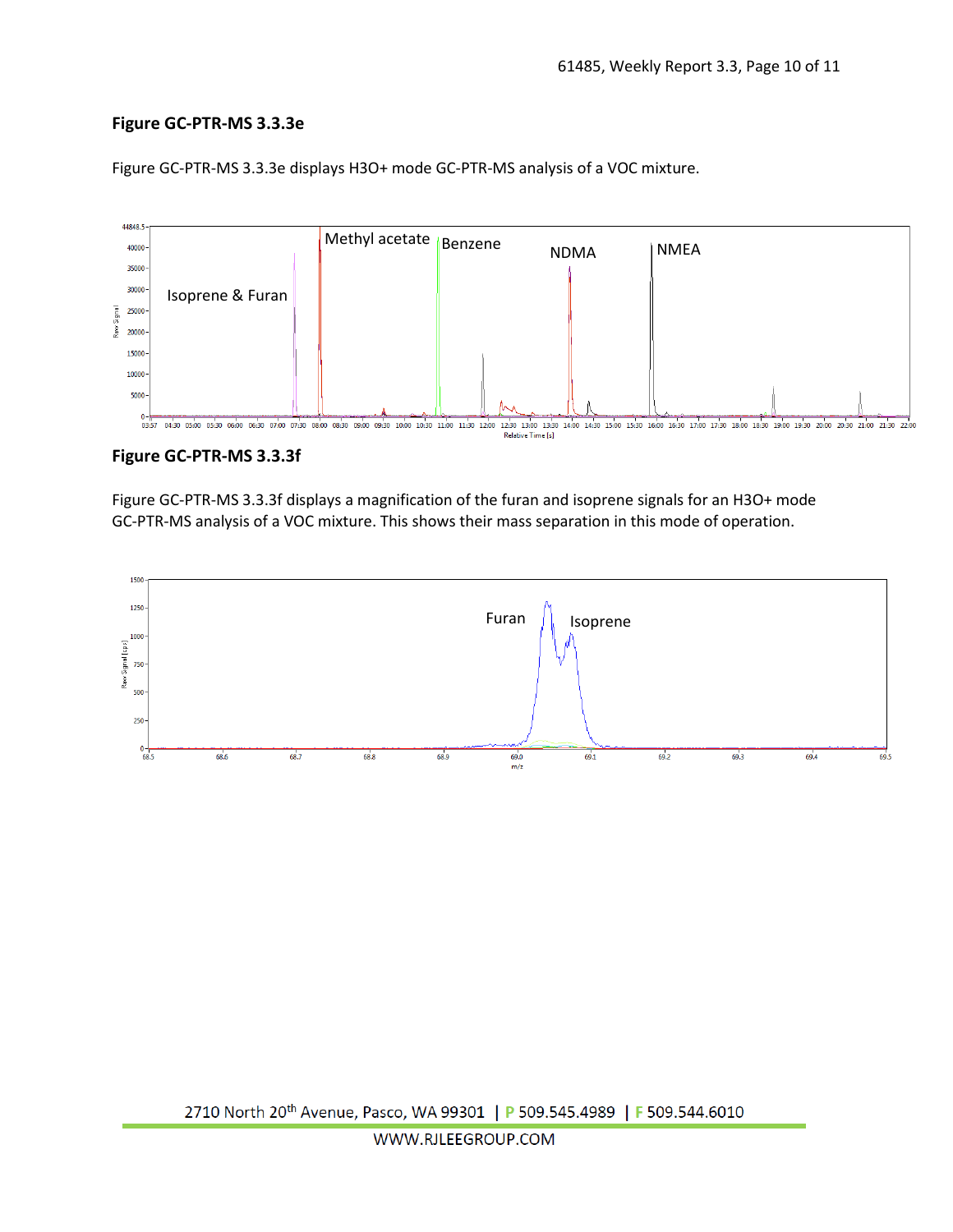## **Figure GC-PTR-MS 3.3.3e**



Figure GC-PTR-MS 3.3.3e displays H3O+ mode GC-PTR-MS analysis of a VOC mixture.

#### **Figure GC-PTR-MS 3.3.3f**

Figure GC-PTR-MS 3.3.3f displays a magnification of the furan and isoprene signals for an H3O+ mode GC-PTR-MS analysis of a VOC mixture. This shows their mass separation in this mode of operation.